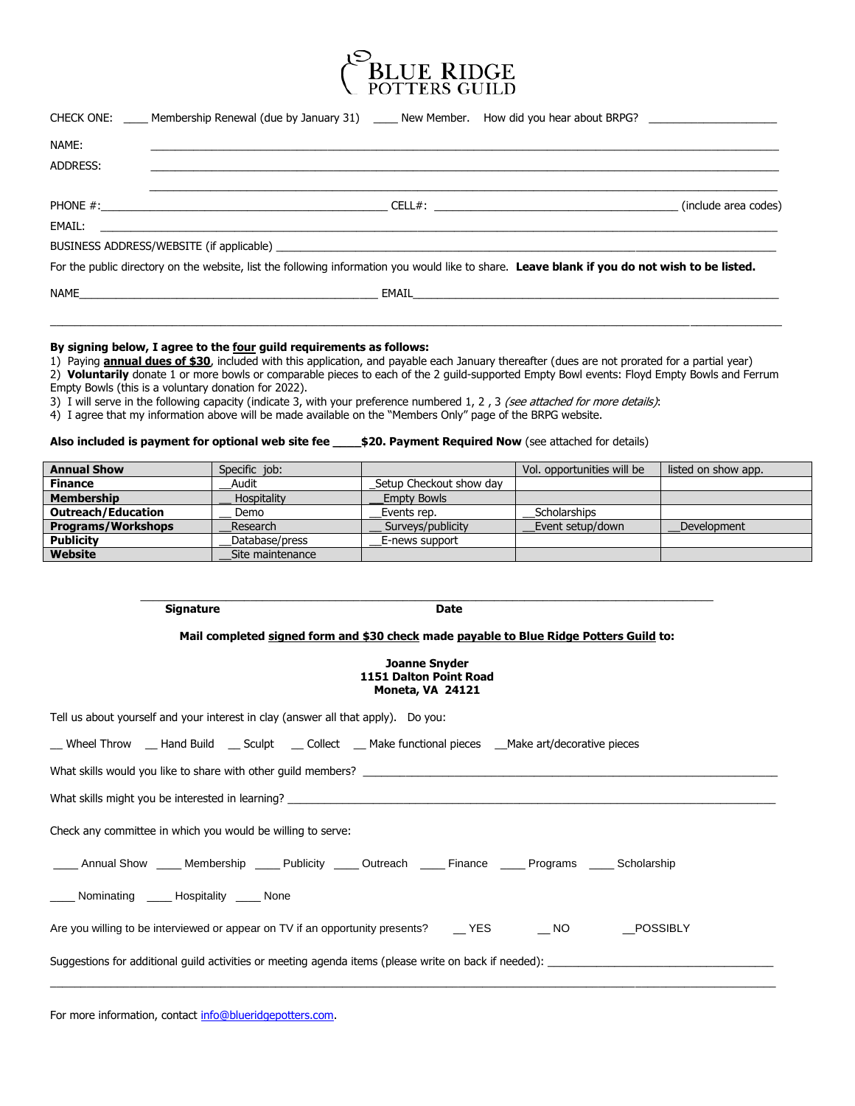

| NAME:    |                                                                                                                                               |  |  |
|----------|-----------------------------------------------------------------------------------------------------------------------------------------------|--|--|
| ADDRESS: |                                                                                                                                               |  |  |
|          |                                                                                                                                               |  |  |
|          |                                                                                                                                               |  |  |
|          |                                                                                                                                               |  |  |
|          | For the public directory on the website, list the following information you would like to share. Leave blank if you do not wish to be listed. |  |  |
|          |                                                                                                                                               |  |  |

# **By signing below, I agree to the four guild requirements as follows:**

1) Paying **annual dues of \$30**, included with this application, and payable each January thereafter (dues are not prorated for a partial year)

2) **Voluntarily** donate 1 or more bowls or comparable pieces to each of the 2 guild-supported Empty Bowl events: Floyd Empty Bowls and Ferrum Empty Bowls (this is a voluntary donation for 2022).

\_\_\_\_\_\_\_\_\_\_\_\_\_\_\_\_\_\_\_\_\_\_\_\_\_\_\_\_\_\_\_\_\_\_\_\_\_\_\_\_\_\_\_\_\_\_\_\_\_\_\_\_\_\_\_\_\_\_\_\_\_\_\_\_\_\_\_\_\_\_\_\_\_\_\_\_\_\_\_\_\_\_\_\_\_\_\_\_\_\_\_\_\_\_\_\_\_\_\_\_\_\_\_\_\_\_\_\_\_\_\_\_\_\_\_\_\_\_\_\_

3) I will serve in the following capacity (indicate 3, with your preference numbered 1, 2, 3 (see attached for more details):

4) I agree that my information above will be made available on the "Members Only" page of the BRPG website.

## **Also included is payment for optional web site fee \_\_\_\_\$20. Payment Required Now** (see attached for details)

| <b>Annual Show</b>        | Specific job:    |                         | Vol. opportunities will be | listed on show app. |
|---------------------------|------------------|-------------------------|----------------------------|---------------------|
| <b>Finance</b>            | Audit            | Setup Checkout show day |                            |                     |
| <b>Membership</b>         | Hospitality      | <b>Empty Bowls</b>      |                            |                     |
| <b>Outreach/Education</b> | Demo             | Events rep.             | Scholarships               |                     |
| <b>Programs/Workshops</b> | Research         | Surveys/publicity       | Event setup/down           | Development         |
| <b>Publicity</b>          | Database/press   | E-news support          |                            |                     |
| Website                   | Site maintenance |                         |                            |                     |

## **Signature Date**

**Mail completed signed form and \$30 check made payable to Blue Ridge Potters Guild to:**

\_\_\_\_\_\_\_\_\_\_\_\_\_\_\_\_\_\_\_\_\_\_\_\_\_\_\_\_\_\_\_\_\_\_\_\_\_\_\_\_\_\_\_\_\_\_\_\_\_\_\_\_\_\_\_\_\_\_\_\_\_\_\_\_\_\_\_\_\_\_\_\_\_\_\_\_\_\_\_\_\_\_\_\_\_\_\_\_\_\_\_\_\_\_

#### **Joanne Snyder 1151 Dalton Point Road Moneta, VA 24121**

Tell us about yourself and your interest in clay (answer all that apply). Do you:

| __ Wheel Throw __ Hand Build ___ Sculpt ___ Collect ___ Make functional pieces ___Make art/decorative pieces     |  |  |  |  |  |  |  |
|------------------------------------------------------------------------------------------------------------------|--|--|--|--|--|--|--|
| What skills would you like to share with other quild members?                                                    |  |  |  |  |  |  |  |
| What skills might you be interested in learning?                                                                 |  |  |  |  |  |  |  |
| Check any committee in which you would be willing to serve:                                                      |  |  |  |  |  |  |  |
| _____ Annual Show _____ Membership _____ Publicity _____ Outreach _____ Finance _____ Programs _____ Scholarship |  |  |  |  |  |  |  |
| _____ Nominating _____ Hospitality _____ None                                                                    |  |  |  |  |  |  |  |
| Are you willing to be interviewed or appear on TV if an opportunity presents? ____YES _______NO _____POSSIBLY    |  |  |  |  |  |  |  |
| Suggestions for additional guild activities or meeting agenda items (please write on back if needed):            |  |  |  |  |  |  |  |